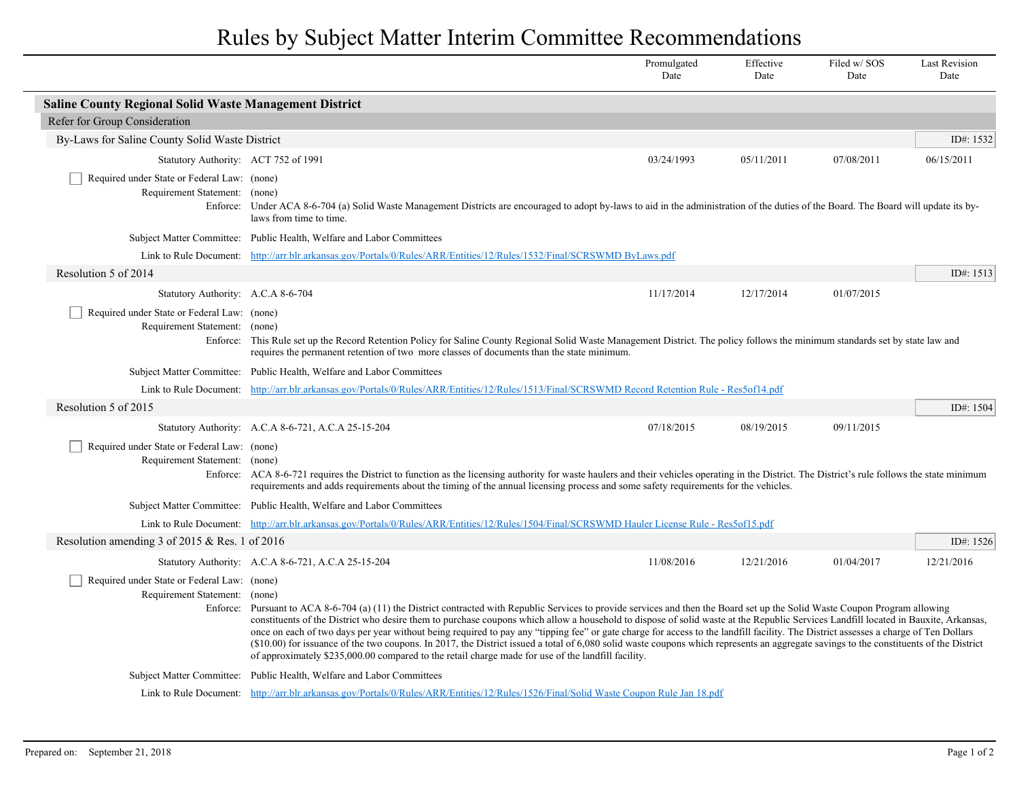## Rules by Subject Matter Interim Committee Recommendations

|                                                                                                                                                |                                                                                                                                                                                                                                                                                                                                                                                                                                                                                                                                                                                                                                                                                                                                                                                                                                                                                                                                             | Promulgated<br>Date | Effective<br>Date | Filed w/SOS<br>Date | <b>Last Revision</b><br>Date |  |  |  |
|------------------------------------------------------------------------------------------------------------------------------------------------|---------------------------------------------------------------------------------------------------------------------------------------------------------------------------------------------------------------------------------------------------------------------------------------------------------------------------------------------------------------------------------------------------------------------------------------------------------------------------------------------------------------------------------------------------------------------------------------------------------------------------------------------------------------------------------------------------------------------------------------------------------------------------------------------------------------------------------------------------------------------------------------------------------------------------------------------|---------------------|-------------------|---------------------|------------------------------|--|--|--|
| <b>Saline County Regional Solid Waste Management District</b>                                                                                  |                                                                                                                                                                                                                                                                                                                                                                                                                                                                                                                                                                                                                                                                                                                                                                                                                                                                                                                                             |                     |                   |                     |                              |  |  |  |
| Refer for Group Consideration                                                                                                                  |                                                                                                                                                                                                                                                                                                                                                                                                                                                                                                                                                                                                                                                                                                                                                                                                                                                                                                                                             |                     |                   |                     |                              |  |  |  |
| By-Laws for Saline County Solid Waste District                                                                                                 |                                                                                                                                                                                                                                                                                                                                                                                                                                                                                                                                                                                                                                                                                                                                                                                                                                                                                                                                             |                     |                   |                     | ID#: 1532                    |  |  |  |
| Statutory Authority: ACT 752 of 1991                                                                                                           |                                                                                                                                                                                                                                                                                                                                                                                                                                                                                                                                                                                                                                                                                                                                                                                                                                                                                                                                             | 03/24/1993          | 05/11/2011        | 07/08/2011          | 06/15/2011                   |  |  |  |
| Required under State or Federal Law: (none)<br>Requirement Statement: (none)                                                                   | Enforce: Under ACA 8-6-704 (a) Solid Waste Management Districts are encouraged to adopt by-laws to aid in the administration of the duties of the Board. The Board will update its by-<br>laws from time to time.                                                                                                                                                                                                                                                                                                                                                                                                                                                                                                                                                                                                                                                                                                                           |                     |                   |                     |                              |  |  |  |
|                                                                                                                                                | Subject Matter Committee: Public Health, Welfare and Labor Committees                                                                                                                                                                                                                                                                                                                                                                                                                                                                                                                                                                                                                                                                                                                                                                                                                                                                       |                     |                   |                     |                              |  |  |  |
|                                                                                                                                                | Link to Rule Document: http://arr.blr.arkansas.gov/Portals/0/Rules/ARR/Entities/12/Rules/1532/Final/SCRSWMD ByLaws.pdf                                                                                                                                                                                                                                                                                                                                                                                                                                                                                                                                                                                                                                                                                                                                                                                                                      |                     |                   |                     |                              |  |  |  |
| Resolution 5 of 2014                                                                                                                           |                                                                                                                                                                                                                                                                                                                                                                                                                                                                                                                                                                                                                                                                                                                                                                                                                                                                                                                                             |                     |                   |                     | ID#: 1513                    |  |  |  |
| Statutory Authority: A.C.A 8-6-704                                                                                                             |                                                                                                                                                                                                                                                                                                                                                                                                                                                                                                                                                                                                                                                                                                                                                                                                                                                                                                                                             | 11/17/2014          | 12/17/2014        | 01/07/2015          |                              |  |  |  |
| Required under State or Federal Law: (none)<br>Requirement Statement: (none)                                                                   | Enforce: This Rule set up the Record Retention Policy for Saline County Regional Solid Waste Management District. The policy follows the minimum standards set by state law and<br>requires the permanent retention of two more classes of documents than the state minimum.                                                                                                                                                                                                                                                                                                                                                                                                                                                                                                                                                                                                                                                                |                     |                   |                     |                              |  |  |  |
|                                                                                                                                                | Subject Matter Committee: Public Health, Welfare and Labor Committees                                                                                                                                                                                                                                                                                                                                                                                                                                                                                                                                                                                                                                                                                                                                                                                                                                                                       |                     |                   |                     |                              |  |  |  |
|                                                                                                                                                | Link to Rule Document: http://arr.blr.arkansas.gov/Portals/0/Rules/ARR/Entities/12/Rules/1513/Final/SCRSWMD Record Retention Rule - Res5of14.pdf                                                                                                                                                                                                                                                                                                                                                                                                                                                                                                                                                                                                                                                                                                                                                                                            |                     |                   |                     |                              |  |  |  |
| Resolution 5 of 2015                                                                                                                           |                                                                                                                                                                                                                                                                                                                                                                                                                                                                                                                                                                                                                                                                                                                                                                                                                                                                                                                                             |                     |                   |                     | ID#: 1504                    |  |  |  |
|                                                                                                                                                | Statutory Authority: A.C.A 8-6-721, A.C.A 25-15-204                                                                                                                                                                                                                                                                                                                                                                                                                                                                                                                                                                                                                                                                                                                                                                                                                                                                                         | 07/18/2015          | 08/19/2015        | 09/11/2015          |                              |  |  |  |
| Required under State or Federal Law: (none)<br>Requirement Statement: (none)                                                                   | Enforce: ACA 8-6-721 requires the District to function as the licensing authority for waste haulers and their vehicles operating in the District. The District's rule follows the state minimum<br>requirements and adds requirements about the timing of the annual licensing process and some safety requirements for the vehicles.                                                                                                                                                                                                                                                                                                                                                                                                                                                                                                                                                                                                       |                     |                   |                     |                              |  |  |  |
|                                                                                                                                                | Subject Matter Committee: Public Health, Welfare and Labor Committees                                                                                                                                                                                                                                                                                                                                                                                                                                                                                                                                                                                                                                                                                                                                                                                                                                                                       |                     |                   |                     |                              |  |  |  |
| Link to Rule Document: http://arr.blr.arkansas.gov/Portals/0/Rules/ARR/Entities/12/Rules/1504/Final/SCRSWMD Hauler License Rule - Res5of15.pdf |                                                                                                                                                                                                                                                                                                                                                                                                                                                                                                                                                                                                                                                                                                                                                                                                                                                                                                                                             |                     |                   |                     |                              |  |  |  |
| Resolution amending 3 of 2015 & Res. 1 of 2016                                                                                                 |                                                                                                                                                                                                                                                                                                                                                                                                                                                                                                                                                                                                                                                                                                                                                                                                                                                                                                                                             |                     |                   |                     | ID#: 1526                    |  |  |  |
|                                                                                                                                                | Statutory Authority: A.C.A 8-6-721, A.C.A 25-15-204                                                                                                                                                                                                                                                                                                                                                                                                                                                                                                                                                                                                                                                                                                                                                                                                                                                                                         | 11/08/2016          | 12/21/2016        | 01/04/2017          | 12/21/2016                   |  |  |  |
|                                                                                                                                                | Required under State or Federal Law: (none)<br>Requirement Statement: (none)<br>Enforce: Pursuant to ACA 8-6-704 (a) (11) the District contracted with Republic Services to provide services and then the Board set up the Solid Waste Coupon Program allowing<br>constituents of the District who desire them to purchase coupons which allow a household to dispose of solid waste at the Republic Services Landfill located in Bauxite, Arkansas,<br>once on each of two days per year without being required to pay any "tipping fee" or gate charge for access to the landfill facility. The District assesses a charge of Ten Dollars<br>(\$10.00) for issuance of the two coupons. In 2017, the District issued a total of 6,080 solid waste coupons which represents an aggregate savings to the constituents of the District<br>of approximately \$235,000.00 compared to the retail charge made for use of the landfill facility. |                     |                   |                     |                              |  |  |  |
|                                                                                                                                                | Subject Matter Committee: Public Health, Welfare and Labor Committees                                                                                                                                                                                                                                                                                                                                                                                                                                                                                                                                                                                                                                                                                                                                                                                                                                                                       |                     |                   |                     |                              |  |  |  |
|                                                                                                                                                | Link to Rule Document: http://arr.blr.arkansas.gov/Portals/0/Rules/ARR/Entities/12/Rules/1526/Final/Solid Waste Coupon Rule Jan 18.pdf                                                                                                                                                                                                                                                                                                                                                                                                                                                                                                                                                                                                                                                                                                                                                                                                      |                     |                   |                     |                              |  |  |  |